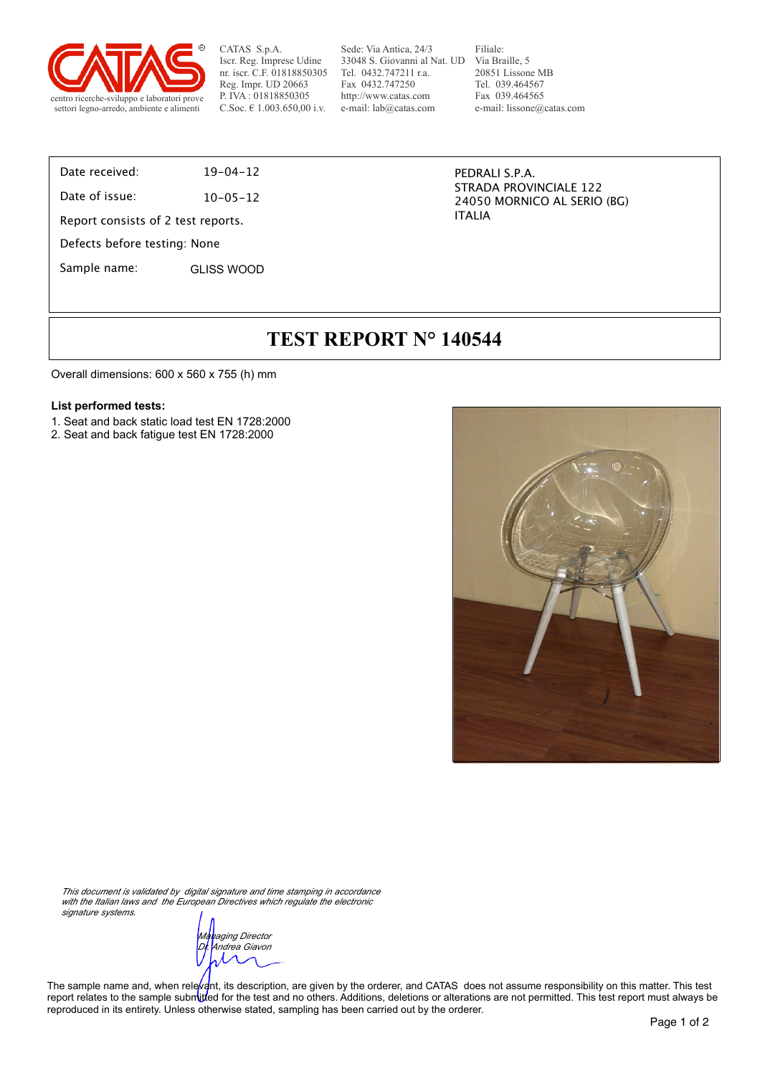

Sede: Via Antica, 24/3 33048 S. Giovanni al Nat. UD Via Braille, 5 Tel. 0432.747211 r.a. Fax 0432.747250 http://www.catas.com e-mail: lab@catas.com

Filiale: 20851 Lissone MB Tel. 039.464567 Fax 039.464565 e-mail: lissone@catas.com

#### Date received: 19-04-12

Date of issue: 10-05-12

Report consists of 2 test reports.

Defects before testing: None

Sample name: GLISS WOOD

PEDRALI S.P.A. STRADA PROVINCIALE 122 24050 MORNICO AL SERIO (BG) ITALIA

# **TEST REPORT N° 140544**

Overall dimensions: 600 x 560 x 755 (h) mm

#### **List performed tests:**

- 1. Seat and back static load test EN 1728:2000
- 2. Seat and back fatigue test EN 1728:2000



*This document is validated by digital signature and time stamping in accordance with the Italian laws and the European Directives which regulate the electronic signature systems.*

*Managing Director Dr. Andrea Giavon*

The sample name and, when relevant, its description, are given by the orderer, and CATAS does not assume responsibility on this matter. This test report relates to the sample submitted for the test and no others. Additions, deletions or alterations are not permitted. This test report must always be reproduced in its entirety. Unless otherwise stated, sampling has been carried out by the orderer.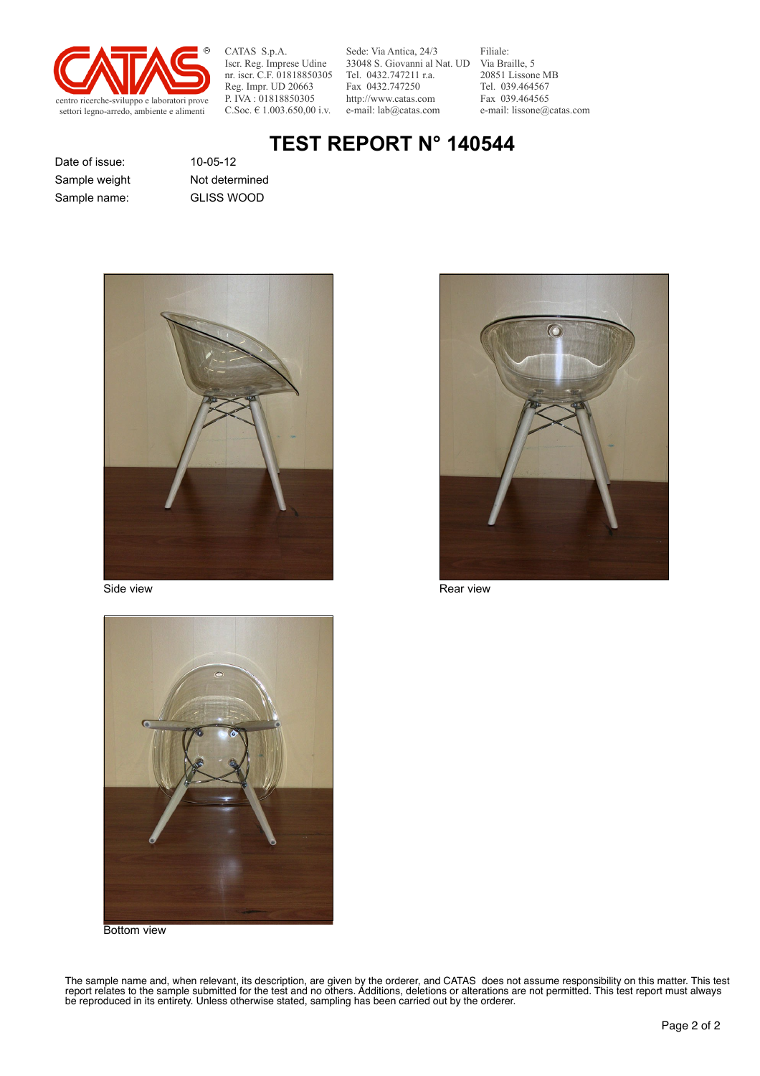

Sede: Via Antica, 24/3 33048 S. Giovanni al Nat. UD Via Braille, 5 Tel. 0432.747211 r.a. Fax 0432.747250 http://www.catas.com e-mail: lab@catas.com

Filiale: 20851 Lissone MB Tel. 039.464567 Fax 039.464565 e-mail: lissone@catas.com

# **TEST REPORT N° 140544**

Date of issue: 10-05-12 Sample name: GLISS WOOD Sample weight Not determined







Bottom view

The sample name and, when relevant, its description, are given by the orderer, and CATAS does not assume responsibility on this matter. This test report relates to the sample submitted for the test and no others. Additions, deletions or alterations are not permitted. This test report must always be reproduced in its entirety. Unless otherwise stated, sampling has been carried out by the orderer.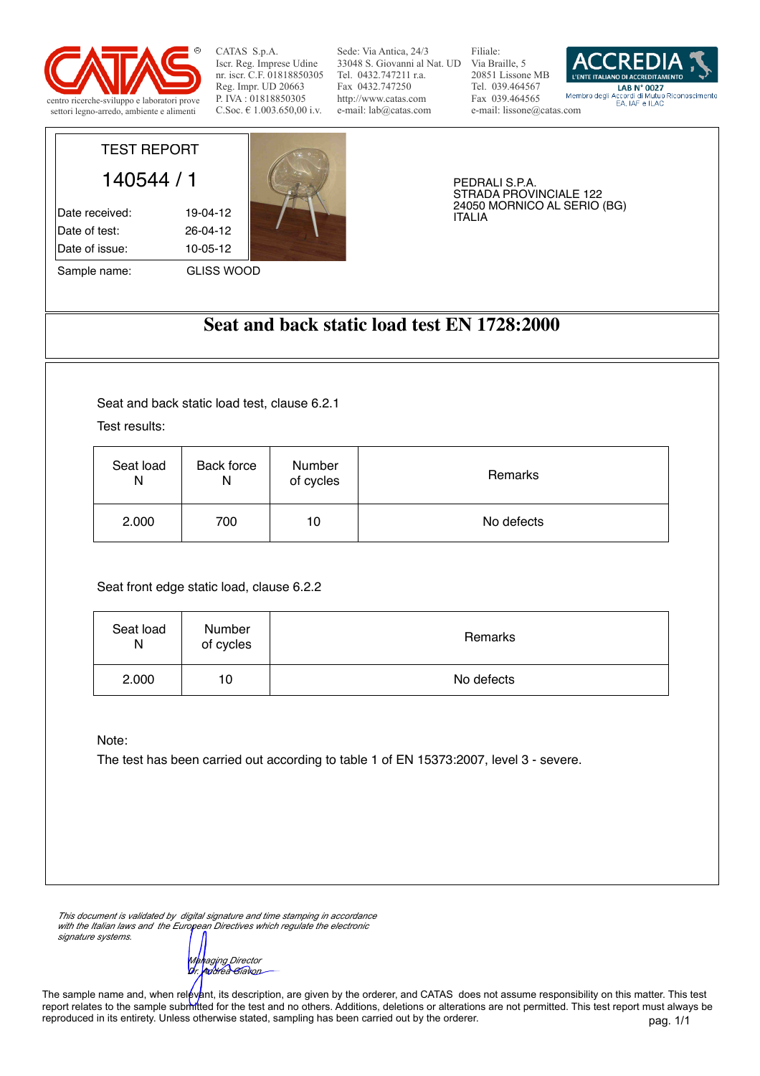

Sede: Via Antica, 24/3 33048 S. Giovanni al Nat. UD Via Braille, 5 Tel. 0432.747211 r.a. Fax 0432.747250 http://www.catas.com e-mail: lab@catas.com

Filiale: 20851 Lissone MB Tel. 039.464567 Fax 039.464565 e-mail: lissone@catas.com



# TEST REPORT 140544 / 1

Date received: 19-04-12 Date of test: 26-04-12 Date of issue: 10-05-12



PEDRALI S.P.A. STRADA PROVINCIALE 122 24050 MORNICO AL SERIO (BG) ITALIA

**Seat and back static load test EN 1728:2000**

Seat and back static load test, clause 6.2.1

Test results:

| Seat load | Back force | Number    | Remarks    |
|-----------|------------|-----------|------------|
| N         | N          | of cycles |            |
| 2.000     | 700        | 10        | No defects |

Seat front edge static load, clause 6.2.2

| Seat load<br>N | Number<br>of cycles | Remarks    |
|----------------|---------------------|------------|
| 2.000          | 10                  | No defects |

Note:

The test has been carried out according to table 1 of EN 15373:2007, level 3 - severe.

*This document is validated by digital signature and time stamping in accordance with the Italian laws and the European Directives which regulate the electronic signature systems.*

*Managing Director Dr. Andrea Giavon*

pag. 1/1 The sample name and, when relevant, its description, are given by the orderer, and CATAS does not assume responsibility on this matter. This test report relates to the sample submitted for the test and no others. Additions, deletions or alterations are not permitted. This test report must always be reproduced in its entirety. Unless otherwise stated, sampling has been carried out by the orderer.